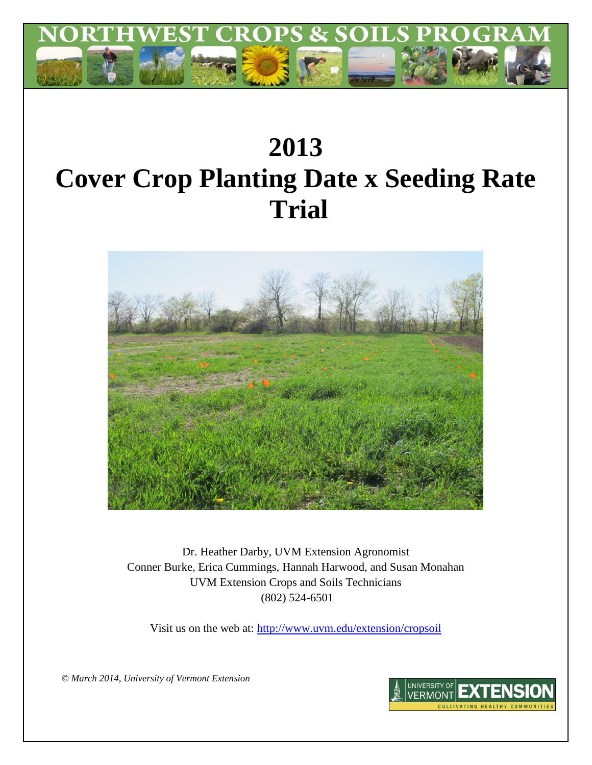

# **2013 Cover Crop Planting Date x Seeding Rate Trial**



Dr. Heather Darby, UVM Extension Agronomist Conner Burke, Erica Cummings, Hannah Harwood, and Susan Monahan UVM Extension Crops and Soils Technicians (802) 524-6501

Visit us on the web at:<http://www.uvm.edu/extension/cropsoil>

*© March 2014, University of Vermont Extension*

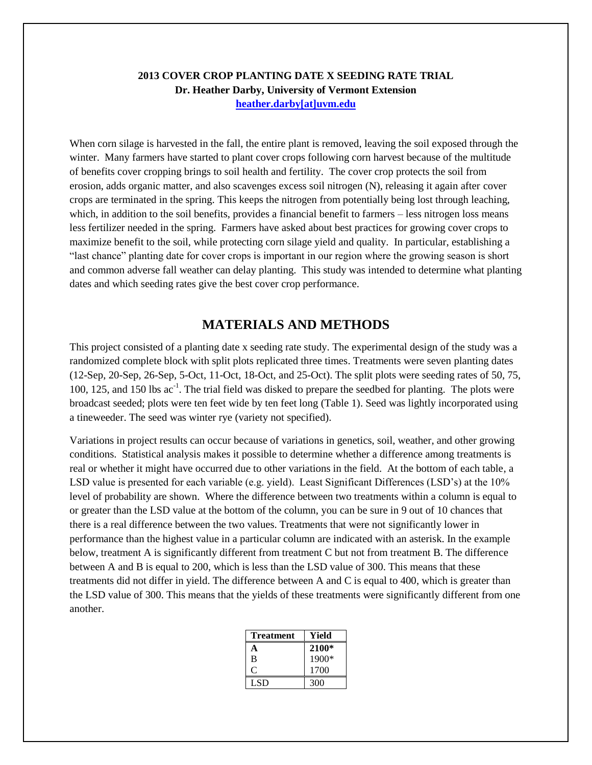## **2013 COVER CROP PLANTING DATE X SEEDING RATE TRIAL Dr. Heather Darby, University of Vermont Extension [heather.darby\[at\]uvm.edu](mailto:heather.darby@uvm.edu?subject=Winter%20Barley%20Variety%20Trial)**

When corn silage is harvested in the fall, the entire plant is removed, leaving the soil exposed through the winter. Many farmers have started to plant cover crops following corn harvest because of the multitude of benefits cover cropping brings to soil health and fertility. The cover crop protects the soil from erosion, adds organic matter, and also scavenges excess soil nitrogen (N), releasing it again after cover crops are terminated in the spring. This keeps the nitrogen from potentially being lost through leaching, which, in addition to the soil benefits, provides a financial benefit to farmers – less nitrogen loss means less fertilizer needed in the spring. Farmers have asked about best practices for growing cover crops to maximize benefit to the soil, while protecting corn silage yield and quality. In particular, establishing a "last chance" planting date for cover crops is important in our region where the growing season is short and common adverse fall weather can delay planting. This study was intended to determine what planting dates and which seeding rates give the best cover crop performance.

## **MATERIALS AND METHODS**

This project consisted of a planting date x seeding rate study. The experimental design of the study was a randomized complete block with split plots replicated three times. Treatments were seven planting dates (12-Sep, 20-Sep, 26-Sep, 5-Oct, 11-Oct, 18-Oct, and 25-Oct). The split plots were seeding rates of 50, 75, 100, 125, and 150 lbs ac<sup>-1</sup>. The trial field was disked to prepare the seedbed for planting. The plots were broadcast seeded; plots were ten feet wide by ten feet long (Table 1). Seed was lightly incorporated using a tineweeder. The seed was winter rye (variety not specified).

Variations in project results can occur because of variations in genetics, soil, weather, and other growing conditions. Statistical analysis makes it possible to determine whether a difference among treatments is real or whether it might have occurred due to other variations in the field. At the bottom of each table, a LSD value is presented for each variable (e.g. yield). Least Significant Differences (LSD's) at the 10% level of probability are shown. Where the difference between two treatments within a column is equal to or greater than the LSD value at the bottom of the column, you can be sure in 9 out of 10 chances that there is a real difference between the two values. Treatments that were not significantly lower in performance than the highest value in a particular column are indicated with an asterisk. In the example below, treatment A is significantly different from treatment C but not from treatment B. The difference between A and B is equal to 200, which is less than the LSD value of 300. This means that these treatments did not differ in yield. The difference between A and C is equal to 400, which is greater than the LSD value of 300. This means that the yields of these treatments were significantly different from one another.

| <b>Treatment</b> | Yield   |
|------------------|---------|
| А                | 2100*   |
| B                | $1900*$ |
| C                | 1700    |
| LSD.             | 300     |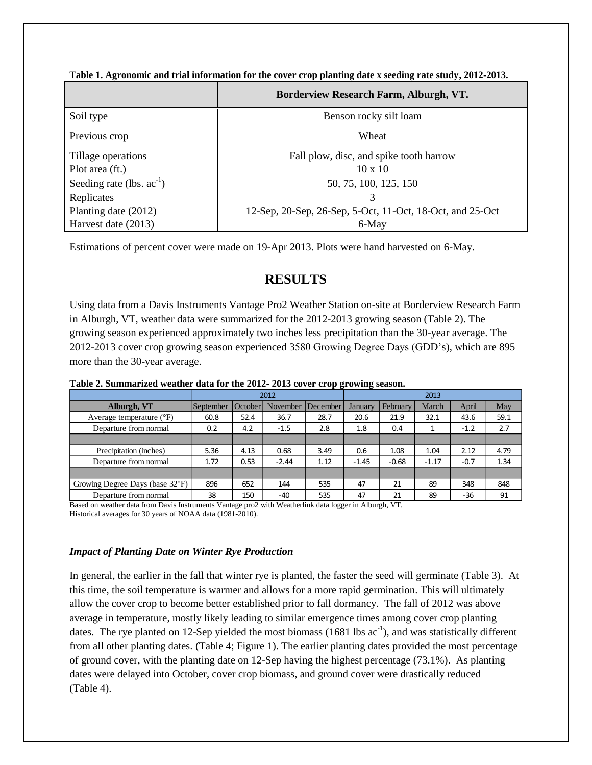|                                | Borderview Research Farm, Alburgh, VT.                    |
|--------------------------------|-----------------------------------------------------------|
| Soil type                      | Benson rocky silt loam                                    |
| Previous crop                  | Wheat                                                     |
| Tillage operations             | Fall plow, disc, and spike tooth harrow                   |
| Plot area (ft.)                | $10 \times 10$                                            |
| Seeding rate (lbs. $ac^{-1}$ ) | 50, 75, 100, 125, 150                                     |
| Replicates                     | 3                                                         |
| Planting date (2012)           | 12-Sep, 20-Sep, 26-Sep, 5-Oct, 11-Oct, 18-Oct, and 25-Oct |
| Harvest date (2013)            | 6-May                                                     |

**Table 1. Agronomic and trial information for the cover crop planting date x seeding rate study, 2012-2013.**

Estimations of percent cover were made on 19-Apr 2013. Plots were hand harvested on 6-May.

## **RESULTS**

Using data from a Davis Instruments Vantage Pro2 Weather Station on-site at Borderview Research Farm in Alburgh, VT, weather data were summarized for the 2012-2013 growing season (Table 2). The growing season experienced approximately two inches less precipitation than the 30-year average. The 2012-2013 cover crop growing season experienced 3580 Growing Degree Days (GDD's), which are 895 more than the 30-year average.

|                                   | 2012      |         |          | 2013     |         |          |         |        |      |
|-----------------------------------|-----------|---------|----------|----------|---------|----------|---------|--------|------|
| Alburgh, VT                       | September | October | November | December | January | February | March   | April  | May  |
| Average temperature $(^{\circ}F)$ | 60.8      | 52.4    | 36.7     | 28.7     | 20.6    | 21.9     | 32.1    | 43.6   | 59.1 |
| Departure from normal             | 0.2       | 4.2     | $-1.5$   | 2.8      | 1.8     | 0.4      |         | $-1.2$ | 2.7  |
|                                   |           |         |          |          |         |          |         |        |      |
| Precipitation (inches)            | 5.36      | 4.13    | 0.68     | 3.49     | 0.6     | 1.08     | 1.04    | 2.12   | 4.79 |
| Departure from normal             | 1.72      | 0.53    | $-2.44$  | 1.12     | $-1.45$ | $-0.68$  | $-1.17$ | $-0.7$ | 1.34 |
|                                   |           |         |          |          |         |          |         |        |      |
| Growing Degree Days (base 32°F)   | 896       | 652     | 144      | 535      | 47      | 21       | 89      | 348    | 848  |
| Departure from normal             | 38        | 150     | -40      | 535      | 47      | 21       | 89      | -36    | 91   |

**Table 2. Summarized weather data for the 2012- 2013 cover crop growing season.**

Based on weather data from Davis Instruments Vantage pro2 with Weatherlink data logger in Alburgh, VT. Historical averages for 30 years of NOAA data (1981-2010).

### *Impact of Planting Date on Winter Rye Production*

In general, the earlier in the fall that winter rye is planted, the faster the seed will germinate (Table 3). At this time, the soil temperature is warmer and allows for a more rapid germination. This will ultimately allow the cover crop to become better established prior to fall dormancy. The fall of 2012 was above average in temperature, mostly likely leading to similar emergence times among cover crop planting dates. The rye planted on 12-Sep yielded the most biomass  $(1681 \text{ lbs} \text{ ac}^{-1})$ , and was statistically different from all other planting dates. (Table 4; Figure 1). The earlier planting dates provided the most percentage of ground cover, with the planting date on 12-Sep having the highest percentage (73.1%). As planting dates were delayed into October, cover crop biomass, and ground cover were drastically reduced (Table 4).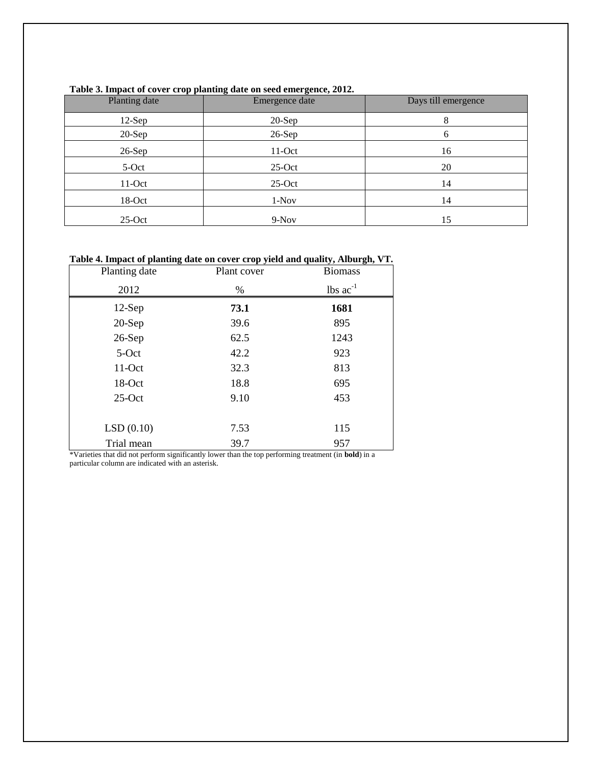| Planting date | Emergence date | Days till emergence |
|---------------|----------------|---------------------|
| $12-Sep$      | $20-Sep$       | 8                   |
| $20-Sep$      | $26-Sep$       | 6                   |
| $26-Sep$      | $11-Oct$       | 16                  |
| 5-Oct         | $25-Oct$       | 20                  |
| $11-Oct$      | $25-Oct$       | 14                  |
| $18-Oct$      | $1-Nov$        | 14                  |
| $25-Oct$      | $9-Nov$        | 15                  |

### **Table 3. Impact of cover crop planting date on seed emergence, 2012.**

## **Table 4. Impact of planting date on cover crop yield and quality, Alburgh, VT.**

| Planting date | Plant cover | <b>Biomass</b>                |
|---------------|-------------|-------------------------------|
| 2012          | $\%$        | $\text{ lbs } \text{ac}^{-1}$ |
| $12-Sep$      | 73.1        | 1681                          |
| $20-Sep$      | 39.6        | 895                           |
| $26-Sep$      | 62.5        | 1243                          |
| $5-Oct$       | 42.2        | 923                           |
| $11-Oct$      | 32.3        | 813                           |
| 18-Oct        | 18.8        | 695                           |
| $25-Oct$      | 9.10        | 453                           |
|               |             |                               |
| LSD(0.10)     | 7.53        | 115                           |
| Trial mean    | 39.7        | 957                           |

\*Varieties that did not perform significantly lower than the top performing treatment (in **bold**) in a particular column are indicated with an asterisk.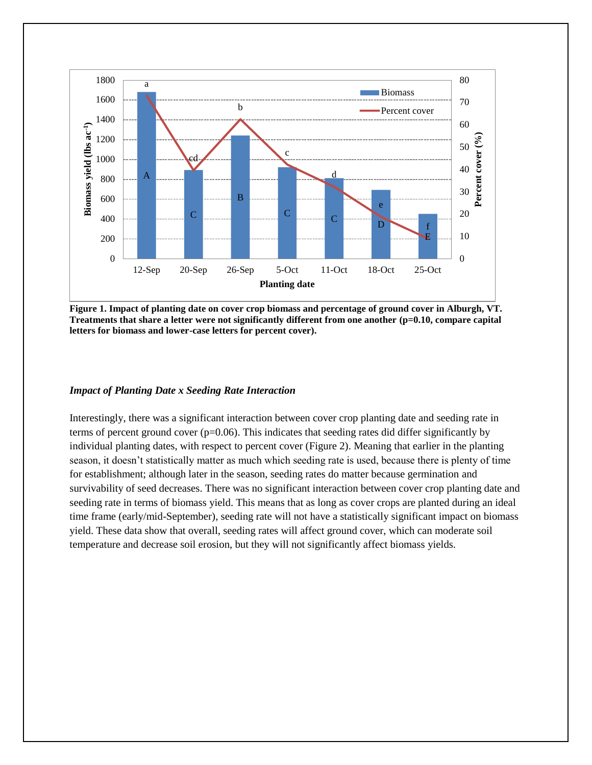

**Figure 1. Impact of planting date on cover crop biomass and percentage of ground cover in Alburgh, VT. Treatments that share a letter were not significantly different from one another (p=0.10, compare capital letters for biomass and lower-case letters for percent cover).**

#### *Impact of Planting Date x Seeding Rate Interaction*

Interestingly, there was a significant interaction between cover crop planting date and seeding rate in terms of percent ground cover  $(p=0.06)$ . This indicates that seeding rates did differ significantly by individual planting dates, with respect to percent cover (Figure 2). Meaning that earlier in the planting season, it doesn't statistically matter as much which seeding rate is used, because there is plenty of time for establishment; although later in the season, seeding rates do matter because germination and survivability of seed decreases. There was no significant interaction between cover crop planting date and seeding rate in terms of biomass yield. This means that as long as cover crops are planted during an ideal time frame (early/mid-September), seeding rate will not have a statistically significant impact on biomass yield. These data show that overall, seeding rates will affect ground cover, which can moderate soil temperature and decrease soil erosion, but they will not significantly affect biomass yields.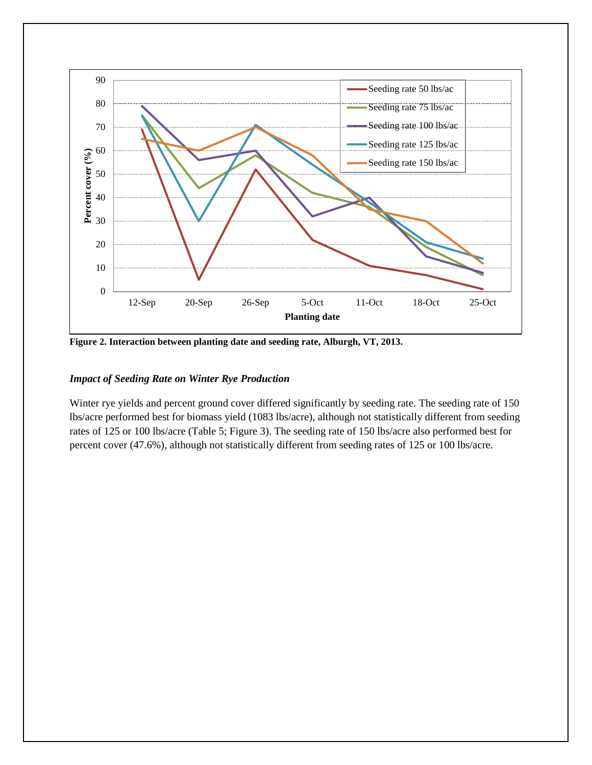

**Figure 2. Interaction between planting date and seeding rate, Alburgh, VT, 2013.**

### *Impact of Seeding Rate on Winter Rye Production*

Winter rye yields and percent ground cover differed significantly by seeding rate. The seeding rate of 150 lbs/acre performed best for biomass yield (1083 lbs/acre), although not statistically different from seeding rates of 125 or 100 lbs/acre (Table 5; Figure 3). The seeding rate of 150 lbs/acre also performed best for percent cover (47.6%), although not statistically different from seeding rates of 125 or 100 lbs/acre.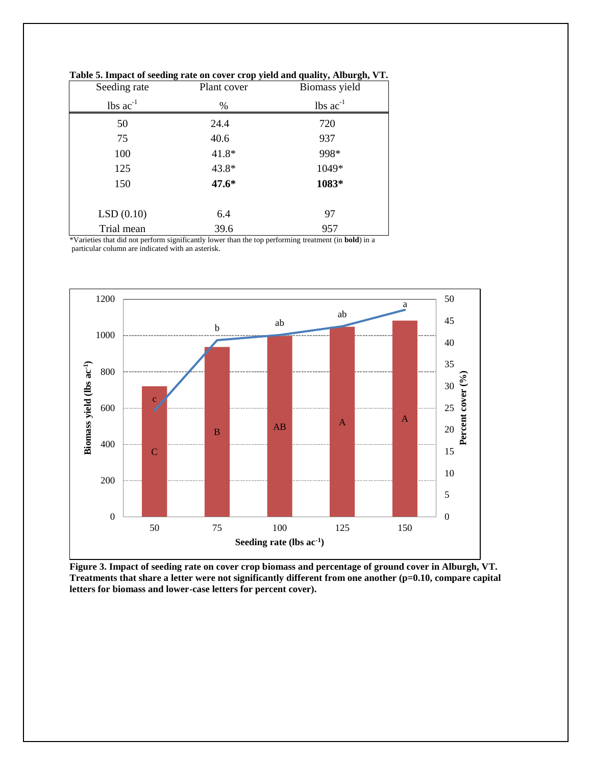| Seeding rate                  | -<br>Plant cover | Biomass yield   |
|-------------------------------|------------------|-----------------|
| $\text{ lbs } \text{ac}^{-1}$ | $\%$             | $lbs$ $ac^{-1}$ |
| 50                            | 24.4             | 720             |
| 75                            | 40.6             | 937             |
| 100                           | 41.8*            | 998*            |
| 125                           | 43.8*            | 1049*           |
| 150                           | 47.6*            | 1083*           |
|                               |                  |                 |
| LSD(0.10)                     | 6.4              | 97              |
| Trial mean                    | 39.6             | 957             |

**Table 5. Impact of seeding rate on cover crop yield and quality, Alburgh, VT.** 

\*Varieties that did not perform significantly lower than the top performing treatment (in **bold**) in a particular column are indicated with an asterisk.



**Figure 3. Impact of seeding rate on cover crop biomass and percentage of ground cover in Alburgh, VT. Treatments that share a letter were not significantly different from one another (p=0.10, compare capital letters for biomass and lower-case letters for percent cover).**